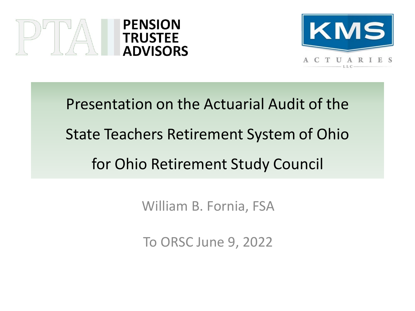



Presentation on the Actuarial Audit of the State Teachers Retirement System of Ohio for Ohio Retirement Study Council

William B. Fornia, FSA

To ORSC June 9, 2022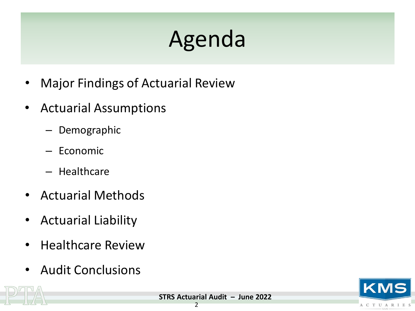# Agenda

- Major Findings of Actuarial Review
- Actuarial Assumptions
	- Demographic
	- Economic
	- Healthcare
- Actuarial Methods
- Actuarial Liability
- Healthcare Review
- Audit Conclusions



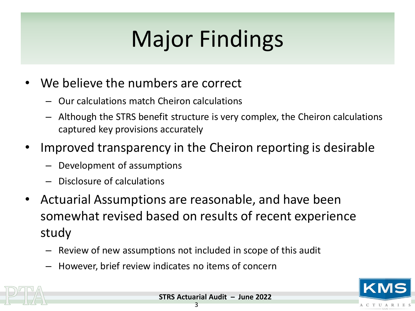# Major Findings

- We believe the numbers are correct
	- Our calculations match Cheiron calculations
	- Although the STRS benefit structure is very complex, the Cheiron calculations captured key provisions accurately
- Improved transparency in the Cheiron reporting is desirable
	- Development of assumptions
	- Disclosure of calculations
- Actuarial Assumptions are reasonable, and have been somewhat revised based on results of recent experience study
	- Review of new assumptions not included in scope of this audit
	- However, brief review indicates no items of concern



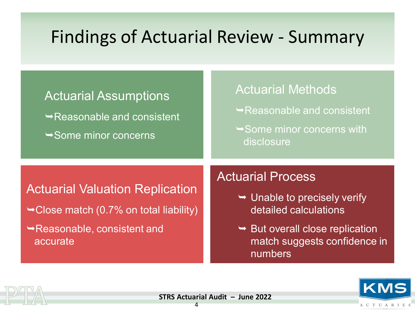#### Findings of Actuarial Review - Summary

| <b>Actuarial Assumptions</b><br>$\rightarrow$ Reasonable and consistent<br>$\rightarrow$ Some minor concerns                            | <b>Actuarial Methods</b><br>$\rightarrow$ Reasonable and consistent<br>$\rightarrow$ Some minor concerns with<br>disclosure                                                             |
|-----------------------------------------------------------------------------------------------------------------------------------------|-----------------------------------------------------------------------------------------------------------------------------------------------------------------------------------------|
| <b>Actuarial Valuation Replication</b><br>$\rightarrow$ Close match (0.7% on total liability)<br>Reasonable, consistent and<br>accurate | <b>Actuarial Process</b><br>$\rightarrow$ Unable to precisely verify<br>detailed calculations<br>$\rightarrow$ But overall close replication<br>match suggests confidence in<br>numbers |



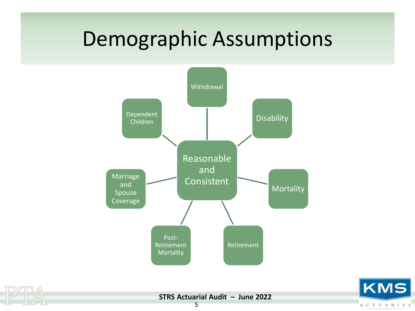#### Demographic Assumptions





**STRS Actuarial Audit – June 2022**

KMS

ACTUARIES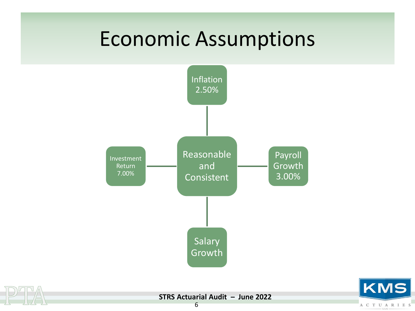#### Economic Assumptions





**STRS Actuarial Audit – June 2022**

KMS

ACTUARIES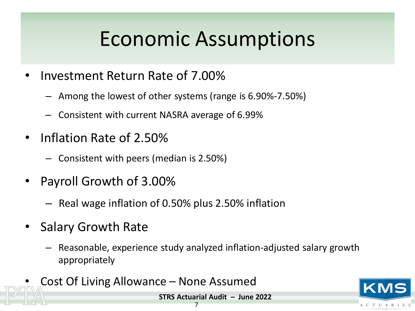#### Economic Assumptions

- Investment Return Rate of 7.00%
	- Among the lowest of other systems (range is 6.90%-7.50%)
	- Consistent with current NASRA average of 6.99%
- Inflation Rate of 2.50%
	- Consistent with peers (median is 2.50%)
- Payroll Growth of 3.00%
	- Real wage inflation of 0.50% plus 2.50% inflation
- Salary Growth Rate
	- Reasonable, experience study analyzed inflation-adjusted salary growth appropriately
- Cost Of Living Allowance None Assumed



**STRS Actuarial Audit – June 2022**

#### 7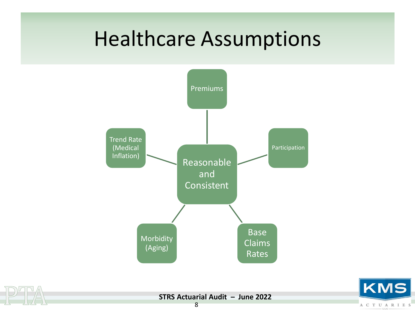#### Healthcare Assumptions





**STRS Actuarial Audit – June 2022**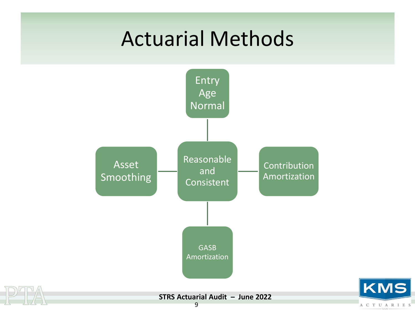#### Actuarial Methods



KMS

ACTUARIES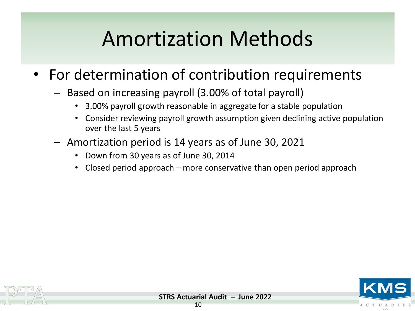### Amortization Methods

- For determination of contribution requirements
	- Based on increasing payroll (3.00% of total payroll)
		- 3.00% payroll growth reasonable in aggregate for a stable population
		- Consider reviewing payroll growth assumption given declining active population over the last 5 years
	- Amortization period is 14 years as of June 30, 2021
		- Down from 30 years as of June 30, 2014
		- Closed period approach more conservative than open period approach



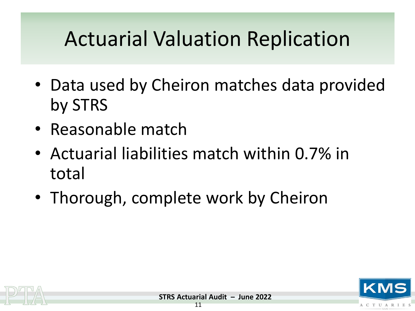### Actuarial Valuation Replication

- Data used by Cheiron matches data provided by STRS
- Reasonable match
- Actuarial liabilities match within 0.7% in total
- Thorough, complete work by Cheiron



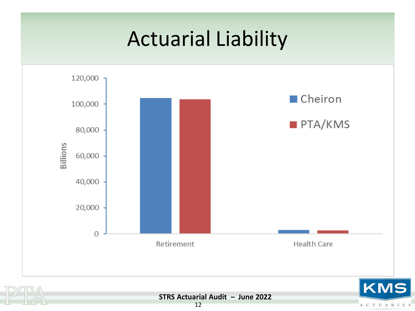#### Actuarial Liability





**STRS Actuarial Audit – June 2022**

A C T U A R I E S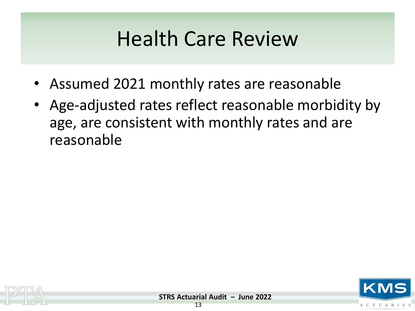#### Health Care Review

- Assumed 2021 monthly rates are reasonable
- Age-adjusted rates reflect reasonable morbidity by age, are consistent with monthly rates and are reasonable



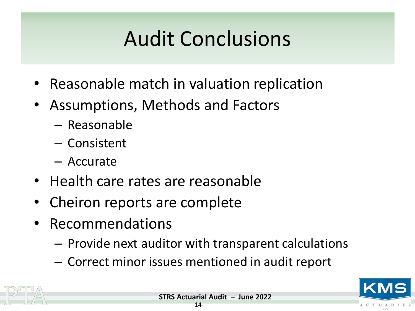## Audit Conclusions

- Reasonable match in valuation replication
- Assumptions, Methods and Factors
	- Reasonable
	- Consistent
	- Accurate
- Health care rates are reasonable
- Cheiron reports are complete
- Recommendations
	- Provide next auditor with transparent calculations
	- Correct minor issues mentioned in audit report



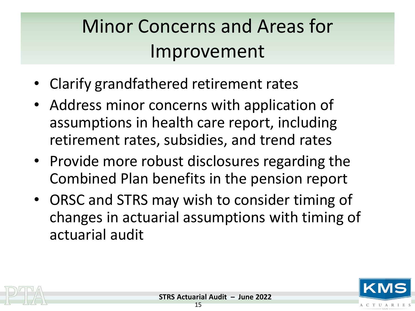#### Minor Concerns and Areas for Improvement

- Clarify grandfathered retirement rates
- Address minor concerns with application of assumptions in health care report, including retirement rates, subsidies, and trend rates
- Provide more robust disclosures regarding the Combined Plan benefits in the pension report
- ORSC and STRS may wish to consider timing of changes in actuarial assumptions with timing of actuarial audit



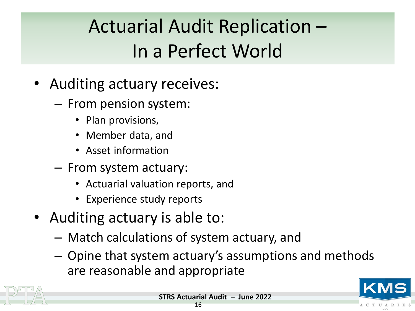#### Actuarial Audit Replication – In a Perfect World

- Auditing actuary receives:
	- From pension system:
		- Plan provisions,
		- Member data, and
		- Asset information
	- From system actuary:
		- Actuarial valuation reports, and
		- Experience study reports
- Auditing actuary is able to:
	- Match calculations of system actuary, and
	- Opine that system actuary's assumptions and methods are reasonable and appropriate





**ACTUARIE**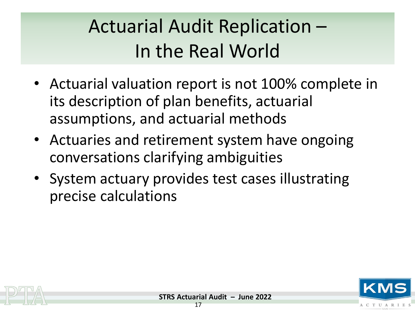#### Actuarial Audit Replication – In the Real World

- Actuarial valuation report is not 100% complete in its description of plan benefits, actuarial assumptions, and actuarial methods
- Actuaries and retirement system have ongoing conversations clarifying ambiguities
- System actuary provides test cases illustrating precise calculations



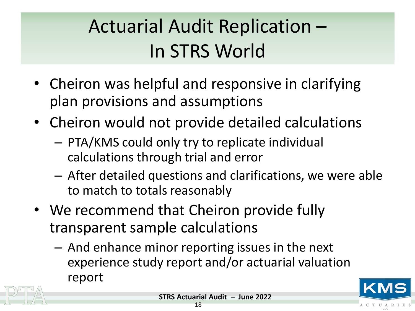#### Actuarial Audit Replication – In STRS World

- Cheiron was helpful and responsive in clarifying plan provisions and assumptions
- Cheiron would not provide detailed calculations
	- PTA/KMS could only try to replicate individual calculations through trial and error
	- After detailed questions and clarifications, we were able to match to totals reasonably
- We recommend that Cheiron provide fully transparent sample calculations
	- And enhance minor reporting issues in the next experience study report and/or actuarial valuation report